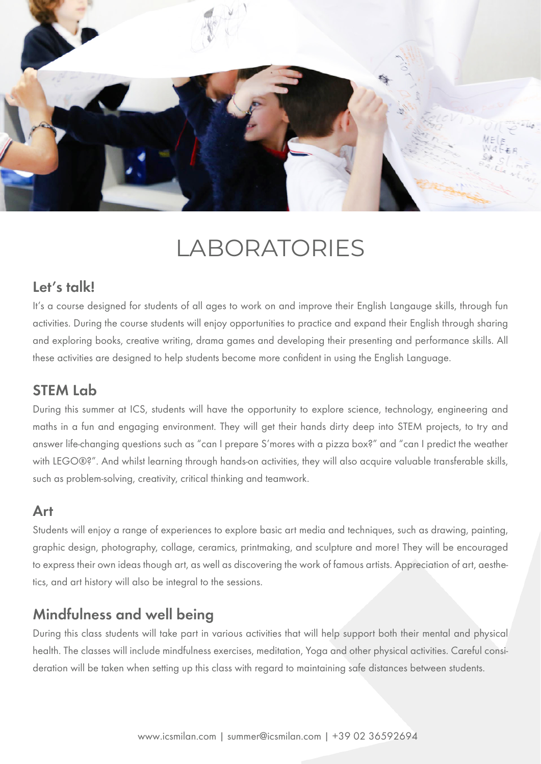

# LABORATORIES

#### Let's talk!

It's a course designed for students of all ages to work on and improve their English Langauge skills, through fun activities. During the course students will enjoy opportunities to practice and expand their English through sharing and exploring books, creative writing, drama games and developing their presenting and performance skills. All these activities are designed to help students become more confident in using the English Language.

### STEM Lab

During this summer at ICS, students will have the opportunity to explore science, technology, engineering and maths in a fun and engaging environment. They will get their hands dirty deep into STEM projects, to try and answer life-changing questions such as "can I prepare S'mores with a pizza box?" and "can I predict the weather with LEGO®?". And whilst learning through hands-on activities, they will also acquire valuable transferable skills, such as problem-solving, creativity, critical thinking and teamwork.

#### Art

Students will enjoy a range of experiences to explore basic art media and techniques, such as drawing, painting, graphic design, photography, collage, ceramics, printmaking, and sculpture and more! They will be encouraged to express their own ideas though art, as well as discovering the work of famous artists. Appreciation of art, aesthetics, and art history will also be integral to the sessions.

## Mindfulness and well being

During this class students will take part in various activities that will help support both their mental and physical health. The classes will include mindfulness exercises, meditation, Yoga and other physical activities. Careful consideration will be taken when setting up this class with regard to maintaining safe distances between students.